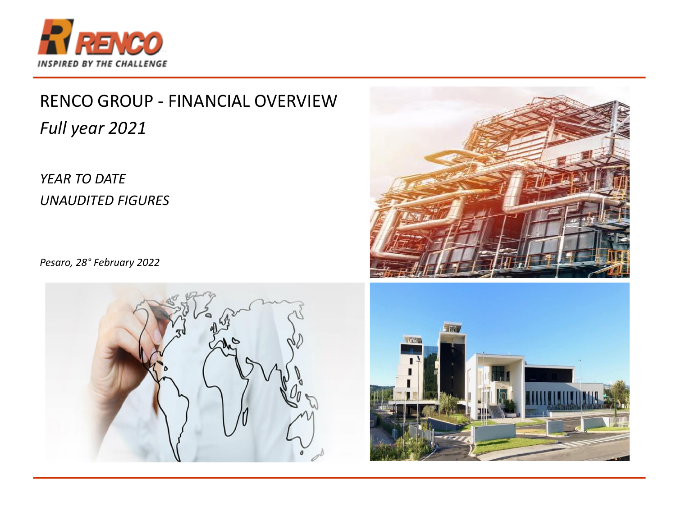

# RENCO GROUP - FINANCIAL OVERVIEW *Full year 2021*

#### *YEAR TO DATE UNAUDITED FIGURES*

*Pesaro, 28° February 2022*





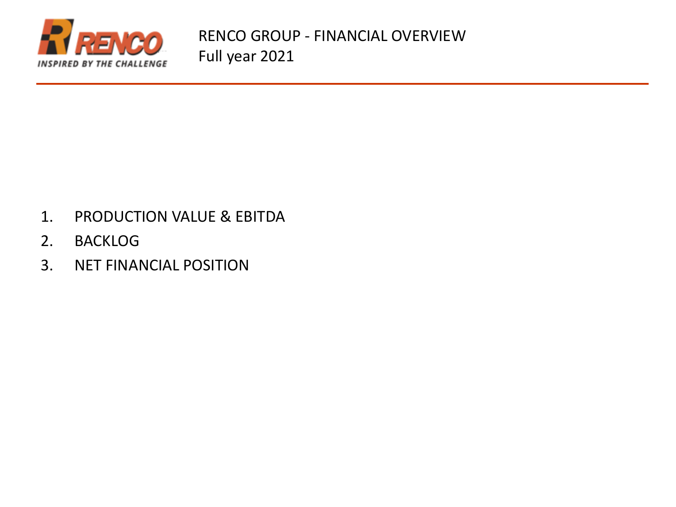

- 1. PRODUCTION VALUE & EBITDA
- 2. BACKLOG
- 3. NET FINANCIAL POSITION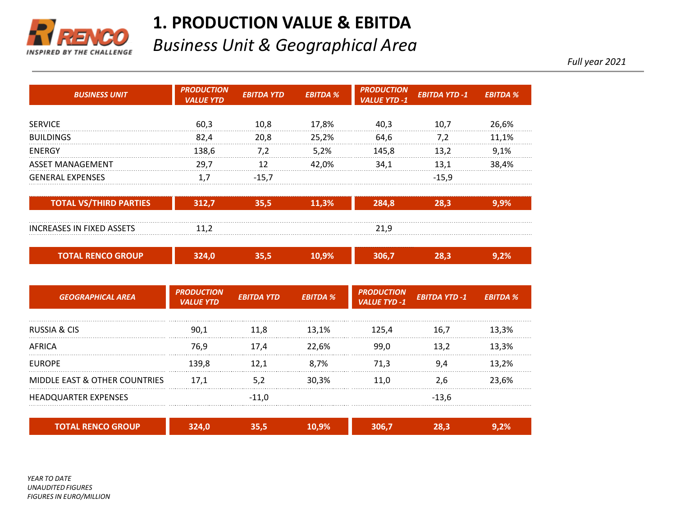

### **1. PRODUCTION VALUE & EBITDA**

### *Business Unit & Geographical Area*

*Full year 2021*

| <b>BUSINESS UNIT</b>                     | <b>PRODUCTION</b><br><b>VALUE YTD</b> | <b>EBITDA YTD</b> | <b>EBITDA %</b> | <b>PRODUCTION</b><br><b>VALUE YTD -1</b> | <b>EBITDA YTD-1</b>  | <b>EBITDA %</b> |
|------------------------------------------|---------------------------------------|-------------------|-----------------|------------------------------------------|----------------------|-----------------|
| <b>SERVICE</b>                           | 60,3                                  | 10,8              | 17,8%           | 40,3                                     | 10,7                 | 26,6%           |
| <b>BUILDINGS</b>                         | 82,4                                  | 20,8              | 25,2%           | 64,6                                     | 7,2                  | 11,1%           |
| <b>ENERGY</b>                            | 138,6                                 | 7,2               | 5,2%            | 145,8                                    | 13,2                 | 9,1%            |
| <b>ASSET MANAGEMENT</b>                  | 29,7                                  | 12                | 42,0%           | 34,1                                     | 13,1                 | 38,4%           |
| <b>GENERAL EXPENSES</b>                  | 1,7                                   | $-15,7$           |                 |                                          | $-15,9$              |                 |
| <b>TOTAL VS/THIRD PARTIES</b>            | 312,7                                 | 35,5              | 11,3%           | 284,8                                    | 28,3                 | 9,9%            |
| INCREASES IN FIXED ASSETS                | 11,2                                  |                   |                 | 21,9                                     |                      |                 |
| <b>TOTAL RENCO GROUP</b>                 | 324,0                                 | 35,5              | 10,9%           | 306,7                                    | 28,3                 | 9,2%            |
| <b>GEOGRAPHICAL AREA</b>                 | <b>PRODUCTION</b><br><b>VALUE YTD</b> | <b>EBITDA YTD</b> | <b>EBITDA %</b> | <b>PRODUCTION</b><br><b>VALUE TYD -1</b> | <b>EBITDA YTD -1</b> | <b>EBITDA %</b> |
| <b>RUSSIA &amp; CIS</b>                  | 90.1                                  | 11,8              | 13.1%           | 125,4                                    | 16,7                 | 13,3%           |
| <b>AFRICA</b>                            | 76,9                                  | 17,4              | 22.6%           | 99,0                                     | 13,2                 | 13,3%           |
| <b>FUROPE</b>                            | 139,8                                 | 12,1              | 8,7%            | 71,3                                     | 9,4                  | 13,2%           |
| <b>MIDDLE EAST &amp; OTHER COUNTRIES</b> | 17,1                                  | 5,2               | 30,3%           | 11,0                                     | 2,6                  | 23,6%           |

| <b>TOTAL RENCO GROUP</b> | ₩ | .9% |  | m<br>-70 |
|--------------------------|---|-----|--|----------|

HEADQUARTER EXPENSES -11,0 -13,6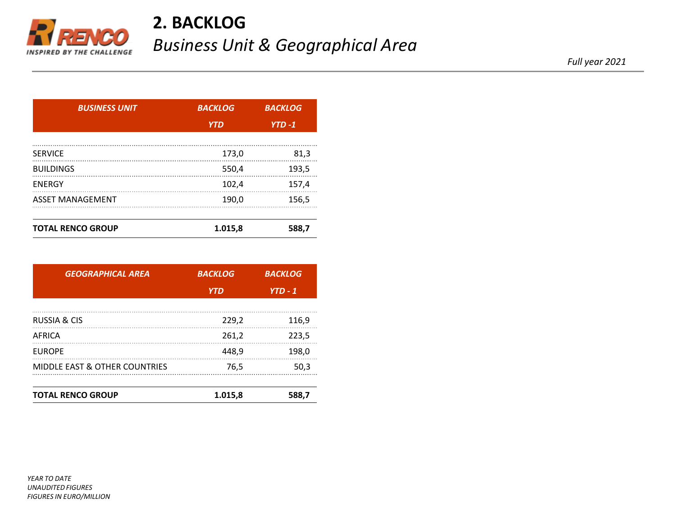

## **2. BACKLOG** *Business Unit & Geographical Area*

*Full year 2021*

| <b>BUSINESS UNIT</b>     | <b>BACKLOG</b> | <b>BACKLOG</b> |  |
|--------------------------|----------------|----------------|--|
|                          | <b>YTD</b>     | $YTD - 1$      |  |
|                          |                |                |  |
| <b>SERVICE</b>           | 173,0          | 81,3           |  |
| <b>BUILDINGS</b>         | 550,4          | 193,5          |  |
| <b>ENERGY</b>            | 102,4          | 157,4          |  |
| <b>ASSET MANAGEMENT</b>  | 190,0          | 156.5          |  |
|                          |                |                |  |
| <b>TOTAL RENCO GROUP</b> | 1.015,8        | 588.7          |  |

| <b>GEOGRAPHICAL AREA</b>                 | <b>BACKLOG</b> | <b>BACKLOG</b> |  |
|------------------------------------------|----------------|----------------|--|
|                                          | <b>YTD</b>     | $YTD - 1$      |  |
| <b>RUSSIA &amp; CIS</b>                  | 229,2          | 116,9          |  |
| AFRICA                                   | 261,2          | 223,5          |  |
| <b>EUROPE</b>                            | 448,9          | 198,0          |  |
| <b>MIDDLE EAST &amp; OTHER COUNTRIES</b> | 76.5           | 50,3           |  |
| <b>TOTAL RENCO GROUP</b>                 | 1.015,8        | 588,7          |  |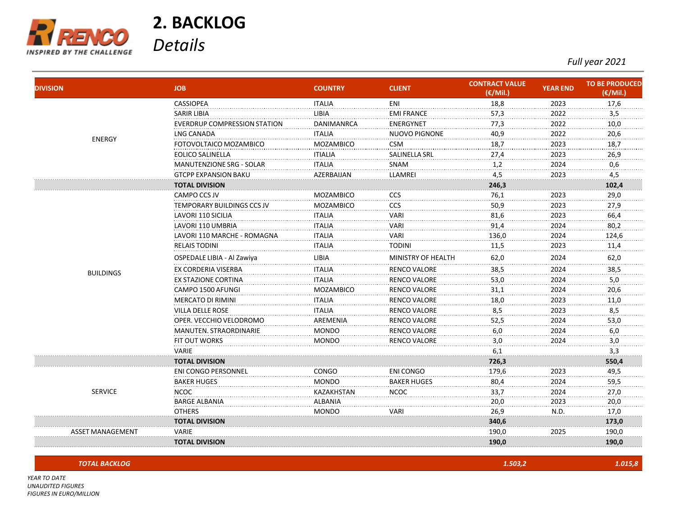

*FIGURES IN EURO/MILLION*

**2. BACKLOG** 

*Details*

*Full year 2021*

| <b>DIVISION</b>  | <b>JOB</b>                         | <b>COUNTRY</b>   | <b>CLIENT</b>        | <b>CONTRACT VALUE</b><br>(€/Mil.) | <b>YEAR END</b> | <b>TO BE PRODUCED</b><br>(€/Mil.) |
|------------------|------------------------------------|------------------|----------------------|-----------------------------------|-----------------|-----------------------------------|
|                  | <b>CASSIOPEA</b>                   | <b>ITALIA</b>    | ENI                  | 18,8                              | 2023            | 17,6                              |
|                  | <b>SARIR LIBIA</b>                 | <b>LIBIA</b>     | <b>EMI FRANCE</b>    | 57,3                              | 2022            | 3,5                               |
|                  | <b>EVERDRUP COMPRESSION STATIC</b> | DANIMANRCA       | ENERGYNET            | 77,3                              | 2022            | 10,0                              |
| <b>ENERGY</b>    | <b>LNG CANADA</b>                  | <b>ITALIA</b>    | <b>NUOVO PIGNONE</b> | 40,9                              | 2022            | 20,6                              |
|                  | FOTOVOLTAICO MOZAMBICO             | <b>MOZAMBICO</b> | <b>CSM</b>           | 18,7                              | 2023            | 18,7                              |
|                  | EOLICO SALINELLA                   | <b>ITIALIA</b>   | SALINELLA SRL        | 27,4                              | 2023            | 26,9                              |
|                  | <b>MANUTENZIONE SRG - SOLAR</b>    | <b>ITALIA</b>    | <b>SNAM</b>          | 1,2                               | 2024            | 0,6                               |
|                  | <b>GTCPP EXPANSION BAKU</b>        | AZERBAIJAN       | LLAMREI              | 4,5                               | 2023            | 4,5                               |
|                  | <b>TOTAL DIVISION</b>              |                  |                      | 246,3                             |                 | 102,4                             |
|                  | CAMPO CCS JV                       | MOZAMBICO        | ccs                  | 76,1                              | 2023            | 29,0                              |
|                  | TEMPORARY BUILDINGS CCS JV         | <b>MOZAMBICO</b> | CCS                  | 50,9                              | 2023            | 27,9                              |
|                  | LAVORI 110 SICILIA                 | <b>ITALIA</b>    | VARI                 | 81,6                              | 2023            | 66,4                              |
|                  | LAVORI 110 UMBRIA                  | <b>ITALIA</b>    | VARI                 | 91,4                              | 2024            | 80,2                              |
|                  | LAVORI 110 MARCHE - ROMAGNA        | <b>ITALIA</b>    | VARI                 | 136,0                             | 2024            | 124,6                             |
|                  | <b>RELAIS TODINI</b>               | <b>ITALIA</b>    | TODINI               | 11,5                              | 2023            | 11,4                              |
|                  | OSPEDALE LIBIA - Al Zawiya         | <b>LIBIA</b>     | MINISTRY OF HEALTH   | 62,0                              | 2024            | 62,0                              |
| <b>BUILDINGS</b> | EX CORDERIA VISERBA                | <b>ITALIA</b>    | RENCO VALORE         | 38,5                              | 2024            | 38,5                              |
|                  | <b>EX STAZIONE CORTINA</b>         | <b>ITALIA</b>    | RENCO VALORE         | 53,0                              | 2024            | $5,0$                             |
|                  | CAMPO 1500 AFUNGI                  | <b>MOZAMBICO</b> | RENCO VALORE         | 31,1                              | 2024            | 20,6                              |
|                  | <b>MERCATO DI RIMINI</b>           | <b>ITALIA</b>    | RENCO VALORE         | 18,0                              | 2023            | 11,0                              |
|                  | <b>VILLA DELLE ROSE</b>            | <b>ITALIA</b>    | <b>RENCO VALORE</b>  | 8,5                               | 2023            | 8,5                               |
|                  | OPER. VECCHIO VELODROMO            | AREMENIA         | RENCO VALORE         | 52,5                              | 2024            | 53,0                              |
|                  | MANUTEN. STRAORDINARIE             | <b>MONDO</b>     | RENCO VALORE         | 6,0                               | 2024            | 6,0                               |
|                  | <b>FIT OUT WORKS</b>               | MONDO            | RENCO VALORE         | 3,0                               | 2024            | 3,0                               |
|                  | VARIE                              |                  |                      | 6,1                               |                 | 3,3                               |
|                  | <b>TOTAL DIVISION</b>              |                  |                      | 726,3                             |                 | 550,4                             |
|                  | <b>ENI CONGO PERSONNEL</b>         | CONGO            | ENI CONGO            | 179,6                             | 2023            | 49,5                              |
|                  | <b>BAKER HUGES</b>                 | <b>MONDO</b>     | <b>BAKER HUGES</b>   | 80,4                              | 2024            | 59,5                              |
| <b>SERVICE</b>   | <b>NCOC</b>                        | KAZAKHSTAN       | <b>NCOC</b>          | 33,7                              | 2024            | 27,0                              |
|                  | <b>BARGE ALBANIA</b>               | <b>ALBANIA</b>   |                      | 20,0                              | 2023            | 20,0                              |
|                  | <b>OTHERS</b>                      | MONDO            | VARI                 | 26,9                              | N.D.            | 17,0                              |
|                  | <b>TOTAL DIVISION</b>              |                  |                      | 340,6                             |                 | 173,0                             |
| ASSET MANAGEMEN1 | VARIE                              |                  |                      | 190,0                             | 2025            | 190,0                             |
|                  | <b>TOTAL DIVISION</b>              |                  |                      | 190,0                             |                 | 190,0                             |

| <b>TOTAL BACKLOG</b>                                                                            | 1.503,2 | .015,8 |
|-------------------------------------------------------------------------------------------------|---------|--------|
| YEAR TO DATE<br>the contract of the contract of the contract of the contract of the contract of |         |        |
| <b>UNAUDITED FIGURES</b>                                                                        |         |        |